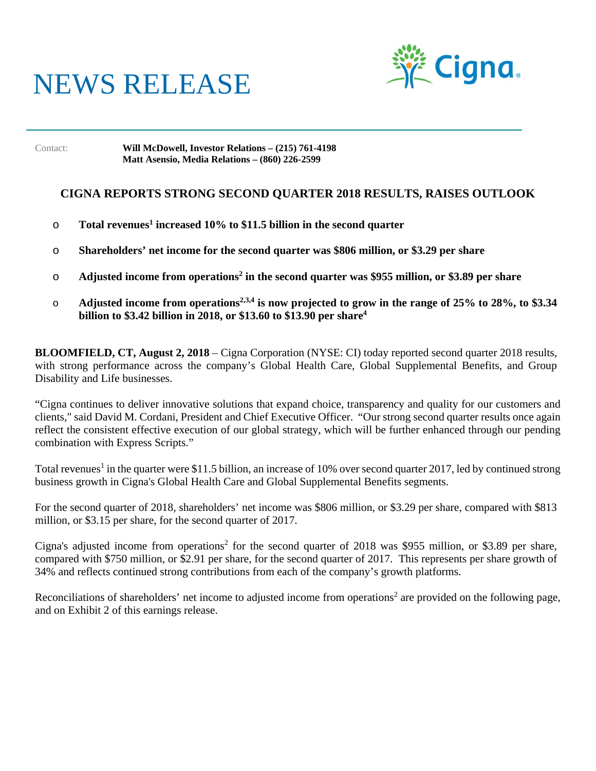# NEWS RELEASE



Contact: **Will McDowell, Investor Relations – (215) 761-4198 Matt Asensio, Media Relations – (860) 226-2599**

## **CIGNA REPORTS STRONG SECOND QUARTER 2018 RESULTS, RAISES OUTLOOK**

- o **Total revenues<sup>1</sup> increased 10% to \$11.5 billion in the second quarter**
- o **Shareholders' net income for the second quarter was \$806 million, or \$3.29 per share**
- o Adjusted income from operations<sup>2</sup> in the second quarter was \$955 million, or \$3.89 per share
- o **Adjusted income from operations2,3,4 is now projected to grow in the range of 25% to 28%, to \$3.34 billion to \$3.42 billion in 2018, or \$13.60 to \$13.90 per share4**

**BLOOMFIELD, CT, August 2, 2018** – Cigna Corporation (NYSE: CI) today reported second quarter 2018 results, with strong performance across the company's Global Health Care, Global Supplemental Benefits, and Group Disability and Life businesses.

"Cigna continues to deliver innovative solutions that expand choice, transparency and quality for our customers and clients," said David M. Cordani, President and Chief Executive Officer. "Our strong second quarter results once again reflect the consistent effective execution of our global strategy, which will be further enhanced through our pending combination with Express Scripts."

Total revenues<sup>1</sup> in the quarter were \$11.5 billion, an increase of 10% over second quarter 2017, led by continued strong business growth in Cigna's Global Health Care and Global Supplemental Benefits segments.

For the second quarter of 2018, shareholders' net income was \$806 million, or \$3.29 per share, compared with \$813 million, or \$3.15 per share, for the second quarter of 2017.

Cigna's adjusted income from operations<sup>2</sup> for the second quarter of 2018 was \$955 million, or \$3.89 per share, compared with \$750 million, or \$2.91 per share, for the second quarter of 2017. This represents per share growth of 34% and reflects continued strong contributions from each of the company's growth platforms.

Reconciliations of shareholders' net income to adjusted income from operations<sup>2</sup> are provided on the following page, and on Exhibit 2 of this earnings release.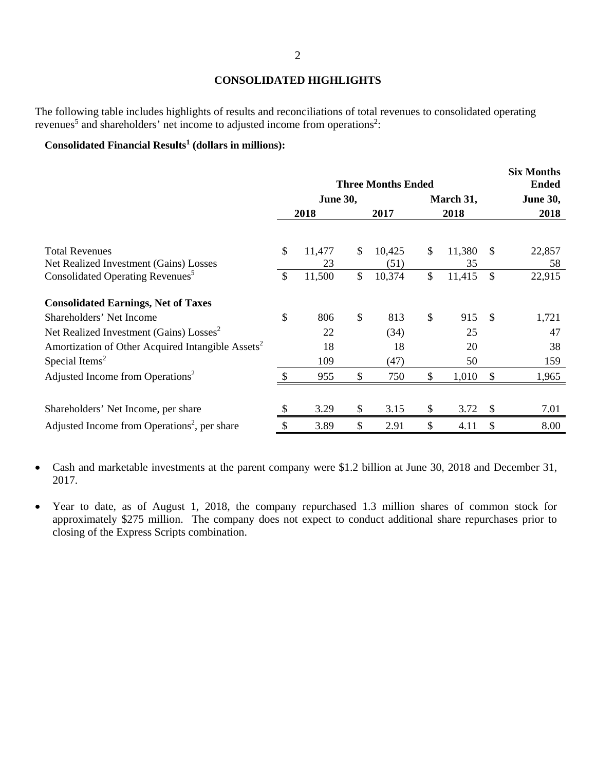### **CONSOLIDATED HIGHLIGHTS**

The following table includes highlights of results and reconciliations of total revenues to consolidated operating revenues<sup>5</sup> and shareholders' net income to adjusted income from operations<sup>2</sup>:

#### Consolidated Financial Results<sup>1</sup> (dollars in millions):

|                                                               |               | <b>Three Months Ended</b> |              | <b>Six Months</b><br><b>Ended</b> |               |                 |
|---------------------------------------------------------------|---------------|---------------------------|--------------|-----------------------------------|---------------|-----------------|
|                                                               |               | <b>June 30,</b>           |              | March 31,                         |               | <b>June 30,</b> |
|                                                               |               | 2018                      | 2017         | 2018                              |               | 2018            |
|                                                               |               |                           |              |                                   |               |                 |
| <b>Total Revenues</b>                                         | $\mathcal{S}$ | 11,477                    | \$<br>10,425 | \$<br>11,380                      | $\mathbb{S}$  | 22,857          |
| Net Realized Investment (Gains) Losses                        |               | 23                        | (51)         | 35                                |               | 58              |
| Consolidated Operating Revenues <sup>5</sup>                  | $\mathcal{S}$ | 11,500                    | \$<br>10,374 | \$<br>11,415                      | $\mathcal{S}$ | 22,915          |
| <b>Consolidated Earnings, Net of Taxes</b>                    |               |                           |              |                                   |               |                 |
| Shareholders' Net Income                                      | \$            | 806                       | \$<br>813    | \$<br>915                         | - \$          | 1,721           |
| Net Realized Investment (Gains) Losses <sup>2</sup>           |               | 22                        | (34)         | 25                                |               | 47              |
| Amortization of Other Acquired Intangible Assets <sup>2</sup> |               | 18                        | 18           | 20                                |               | 38              |
| Special Items <sup>2</sup>                                    |               | 109                       | (47)         | 50                                |               | 159             |
| Adjusted Income from Operations <sup>2</sup>                  |               | 955                       | \$<br>750    | \$<br>1,010                       | \$            | 1,965           |
|                                                               |               |                           |              |                                   |               |                 |
| Shareholders' Net Income, per share                           |               | 3.29                      | \$<br>3.15   | \$<br>3.72                        | \$            | 7.01            |
| Adjusted Income from Operations <sup>2</sup> , per share      | \$            | 3.89                      | \$<br>2.91   | \$<br>4.11                        | \$            | 8.00            |

- Cash and marketable investments at the parent company were \$1.2 billion at June 30, 2018 and December 31, 2017.
- Year to date, as of August 1, 2018, the company repurchased 1.3 million shares of common stock for approximately \$275 million. The company does not expect to conduct additional share repurchases prior to closing of the Express Scripts combination.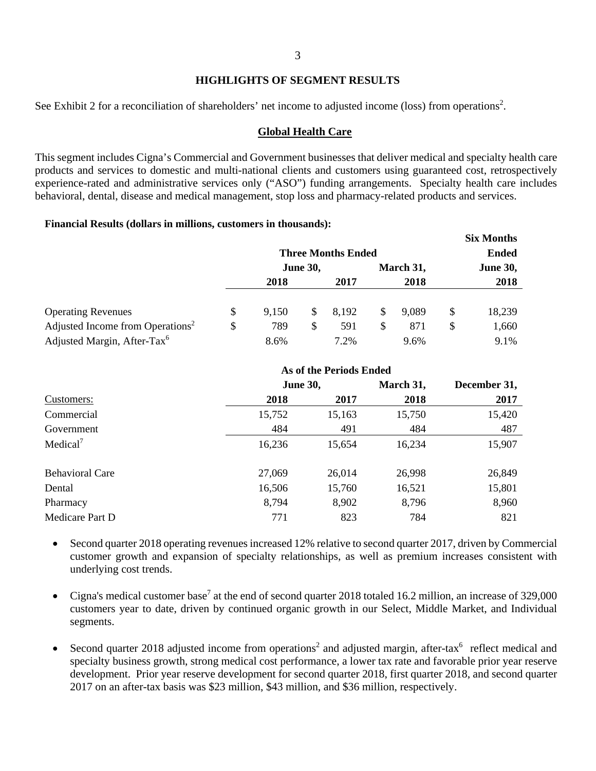3

#### **HIGHLIGHTS OF SEGMENT RESULTS**

See Exhibit 2 for a reconciliation of shareholders' net income to adjusted income (loss) from operations<sup>2</sup>.

#### **Global Health Care**

This segment includes Cigna's Commercial and Government businesses that deliver medical and specialty health care products and services to domestic and multi-national clients and customers using guaranteed cost, retrospectively experience-rated and administrative services only ("ASO") funding arrangements. Specialty health care includes behavioral, dental, disease and medical management, stop loss and pharmacy-related products and services.

#### **Financial Results (dollars in millions, customers in thousands):**

|                                              | <b>Three Months Ended</b> | <b>Six Months</b><br><b>Ended</b> |       |    |           |                 |
|----------------------------------------------|---------------------------|-----------------------------------|-------|----|-----------|-----------------|
|                                              |                           | <b>June 30,</b>                   |       |    | March 31, | <b>June 30,</b> |
|                                              | 2018                      |                                   | 2017  |    | 2018      | 2018            |
|                                              |                           |                                   |       |    |           |                 |
| <b>Operating Revenues</b>                    | \$<br>9,150               | S.                                | 8,192 | S. | 9.089     | \$<br>18,239    |
| Adjusted Income from Operations <sup>2</sup> | \$<br>789                 | \$                                | 591   | S  | 871       | \$<br>1,660     |
| Adjusted Margin, After-Tax <sup>6</sup>      | 8.6%                      |                                   | 7.2%  |    | 9.6%      | 9.1%            |

|                        | As of the Periods Ended |        |           |              |
|------------------------|-------------------------|--------|-----------|--------------|
|                        | <b>June 30,</b>         |        | March 31, | December 31, |
| Customers:             | 2018                    | 2017   | 2018      | 2017         |
| Commercial             | 15,752                  | 15,163 | 15,750    | 15,420       |
| Government             | 484                     | 491    | 484       | 487          |
| Medical <sup>7</sup>   | 16,236                  | 15,654 | 16,234    | 15,907       |
| <b>Behavioral Care</b> | 27,069                  | 26,014 | 26,998    | 26,849       |
| Dental                 | 16,506                  | 15,760 | 16,521    | 15,801       |
| Pharmacy               | 8,794                   | 8,902  | 8,796     | 8,960        |
| Medicare Part D        | 771                     | 823    | 784       | 821          |

- Second quarter 2018 operating revenues increased 12% relative to second quarter 2017, driven by Commercial customer growth and expansion of specialty relationships, as well as premium increases consistent with underlying cost trends.
- Cigna's medical customer base<sup>7</sup> at the end of second quarter 2018 totaled 16.2 million, an increase of 329,000 customers year to date, driven by continued organic growth in our Select, Middle Market, and Individual segments.
- Second quarter 2018 adjusted income from operations<sup>2</sup> and adjusted margin, after-tax<sup>6</sup> reflect medical and specialty business growth, strong medical cost performance, a lower tax rate and favorable prior year reserve development. Prior year reserve development for second quarter 2018, first quarter 2018, and second quarter 2017 on an after-tax basis was \$23 million, \$43 million, and \$36 million, respectively.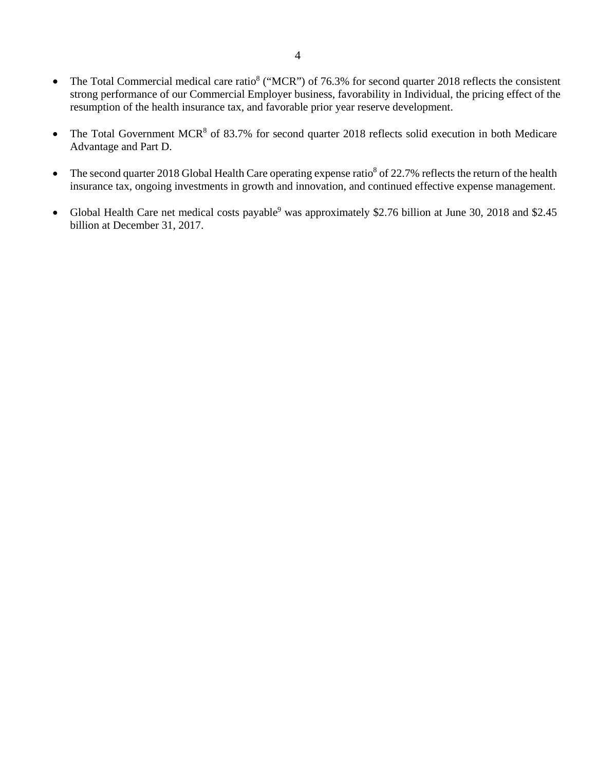- The Total Commercial medical care ratio<sup>8</sup> ("MCR") of 76.3% for second quarter 2018 reflects the consistent strong performance of our Commercial Employer business, favorability in Individual, the pricing effect of the resumption of the health insurance tax, and favorable prior year reserve development.
- The Total Government MCR<sup>8</sup> of 83.7% for second quarter 2018 reflects solid execution in both Medicare Advantage and Part D.
- The second quarter 2018 Global Health Care operating expense ratio<sup>8</sup> of 22.7% reflects the return of the health insurance tax, ongoing investments in growth and innovation, and continued effective expense management.
- Global Health Care net medical costs payable<sup>9</sup> was approximately \$2.76 billion at June 30, 2018 and \$2.45 billion at December 31, 2017.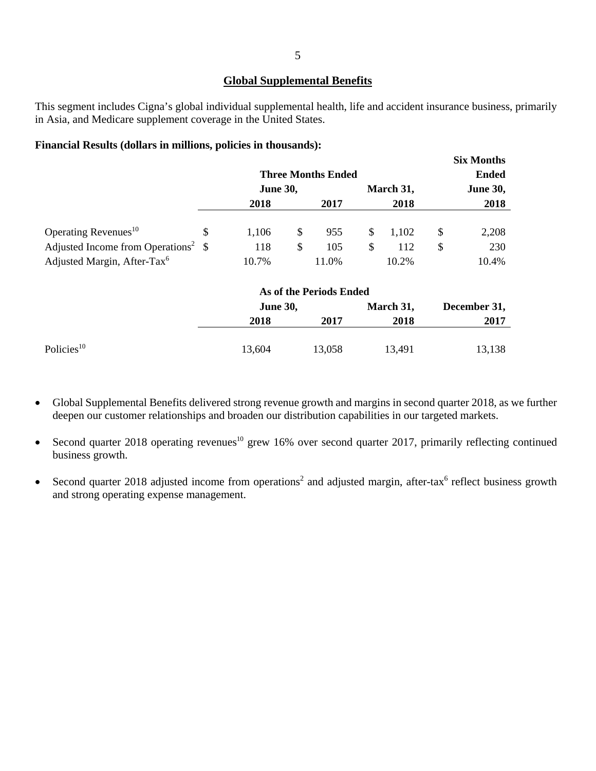#### **Global Supplemental Benefits**

This segment includes Cigna's global individual supplemental health, life and accident insurance business, primarily in Asia, and Medicare supplement coverage in the United States.

#### **Financial Results (dollars in millions, policies in thousands):**

|                                                    |                           |                         |              |           | <b>Six Months</b> |
|----------------------------------------------------|---------------------------|-------------------------|--------------|-----------|-------------------|
|                                                    | <b>Three Months Ended</b> |                         | <b>Ended</b> |           |                   |
|                                                    | <b>June 30,</b>           |                         |              | March 31, | <b>June 30,</b>   |
|                                                    | 2018                      | 2017                    |              | 2018      | 2018              |
|                                                    |                           |                         |              |           |                   |
| Operating Revenues <sup>10</sup>                   | \$<br>1,106               | \$<br>955               | \$           | 1,102     | \$<br>2,208       |
| Adjusted Income from Operations <sup>2</sup> $\$\$ | 118                       | \$<br>105               | \$           | 112       | \$<br>230         |
| Adjusted Margin, After-Tax <sup>6</sup>            | 10.7%                     | 11.0%                   |              | 10.2%     | 10.4%             |
|                                                    |                           | As of the Periods Ended |              |           |                   |
|                                                    | <b>June 30,</b>           |                         |              | March 31, | December 31,      |
|                                                    | 2018                      | 2017                    |              | 2018      | 2017              |
| Policies <sup>10</sup>                             |                           |                         |              |           |                   |
|                                                    | 13,604                    | 13,058                  |              | 13,491    | 13,138            |

- Global Supplemental Benefits delivered strong revenue growth and margins in second quarter 2018, as we further deepen our customer relationships and broaden our distribution capabilities in our targeted markets.
- Second quarter 2018 operating revenues<sup>10</sup> grew 16% over second quarter 2017, primarily reflecting continued business growth.
- Second quarter 2018 adjusted income from operations<sup>2</sup> and adjusted margin, after-tax<sup>6</sup> reflect business growth and strong operating expense management.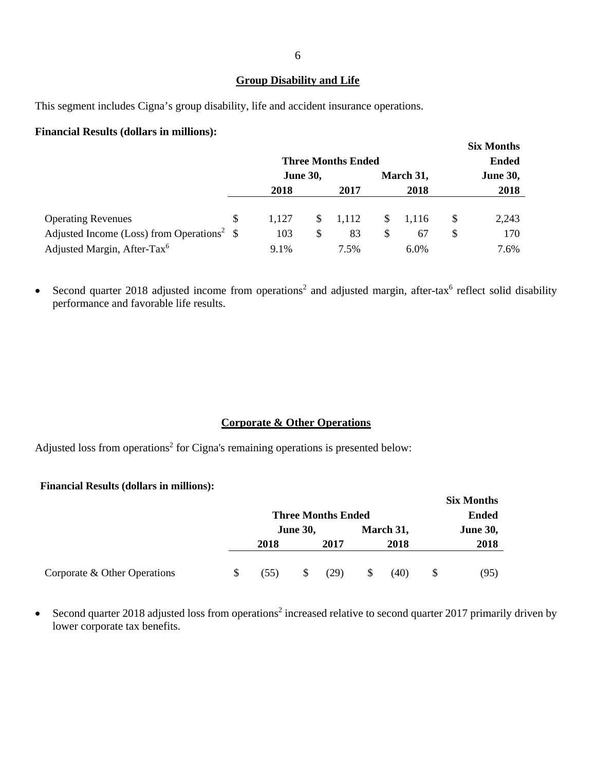#### **Group Disability and Life**

This segment includes Cigna's group disability, life and accident insurance operations.

#### **Financial Results (dollars in millions):**

|                                                         |                 | <b>Three Months Ended</b> |       | <b>Six Months</b><br><b>Ended</b> |           |              |                 |
|---------------------------------------------------------|-----------------|---------------------------|-------|-----------------------------------|-----------|--------------|-----------------|
|                                                         | <b>June 30,</b> |                           |       |                                   | March 31, |              | <b>June 30,</b> |
|                                                         | 2018            |                           | 2017  |                                   | 2018      |              | 2018            |
|                                                         |                 |                           |       |                                   |           |              |                 |
| <b>Operating Revenues</b>                               | \$<br>1.127     | S.                        | 1,112 | S.                                | 1.116     | <sup>S</sup> | 2,243           |
| Adjusted Income (Loss) from Operations <sup>2</sup> $\$ | 103             | S                         | 83    | \$                                | 67        | \$           | 170             |
| Adjusted Margin, After-Tax <sup>6</sup>                 | 9.1%            |                           | 7.5%  |                                   | 6.0%      |              | 7.6%            |

• Second quarter 2018 adjusted income from operations<sup>2</sup> and adjusted margin, after-tax<sup>6</sup> reflect solid disability performance and favorable life results.

#### **Corporate & Other Operations**

Adjusted loss from operations<sup>2</sup> for Cigna's remaining operations is presented below:

#### **Financial Results (dollars in millions):**

|                              |    |                           |    |              |   |           |                 | <b>Six Months</b> |  |
|------------------------------|----|---------------------------|----|--------------|---|-----------|-----------------|-------------------|--|
|                              |    | <b>Three Months Ended</b> |    | <b>Ended</b> |   |           |                 |                   |  |
|                              |    | <b>June 30,</b>           |    |              |   | March 31, | <b>June 30,</b> |                   |  |
|                              |    | 2018                      |    | 2017         |   | 2018      |                 | 2018              |  |
| Corporate & Other Operations | S. | (55)                      | \$ | (29)         | S | (40)      |                 | (95)              |  |

Second quarter 2018 adjusted loss from operations<sup>2</sup> increased relative to second quarter 2017 primarily driven by lower corporate tax benefits.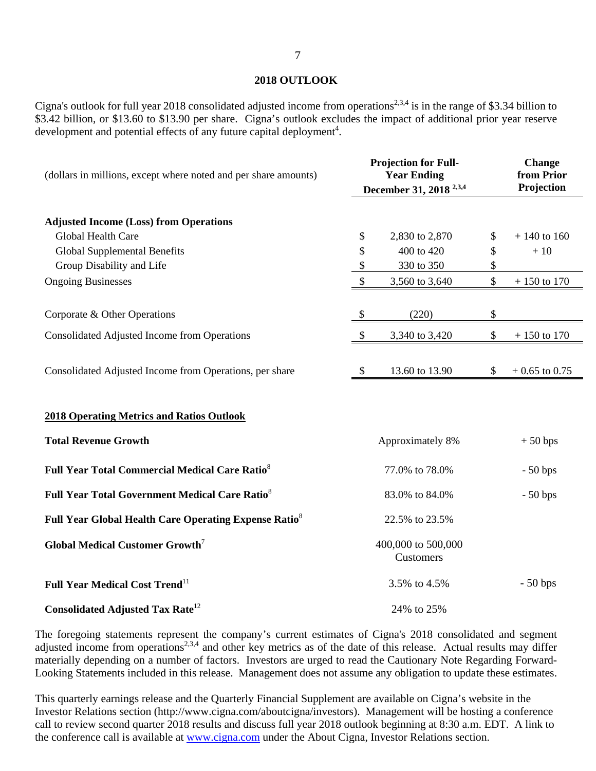#### **2018 OUTLOOK**

Cigna's outlook for full year 2018 consolidated adjusted income from operations<sup>2,3,4</sup> is in the range of \$3.34 billion to \$3.42 billion, or \$13.60 to \$13.90 per share. Cigna's outlook excludes the impact of additional prior year reserve development and potential effects of any future capital deployment<sup>4</sup>.

| (dollars in millions, except where noted and per share amounts)                 |                           | <b>Projection for Full-</b><br><b>Year Ending</b><br>December 31, 2018 <sup>2,3,4</sup> | <b>Change</b><br>from Prior<br>Projection |
|---------------------------------------------------------------------------------|---------------------------|-----------------------------------------------------------------------------------------|-------------------------------------------|
| <b>Adjusted Income (Loss) from Operations</b>                                   |                           |                                                                                         |                                           |
| Global Health Care                                                              | \$                        | 2,830 to 2,870                                                                          | \$<br>$+140$ to 160                       |
| <b>Global Supplemental Benefits</b>                                             | \$                        | 400 to 420                                                                              | \$<br>$+10$                               |
| Group Disability and Life                                                       | \$                        | 330 to 350                                                                              | \$                                        |
| <b>Ongoing Businesses</b>                                                       | $\boldsymbol{\mathsf{S}}$ | 3,560 to 3,640                                                                          | \$<br>$+150$ to 170                       |
| Corporate & Other Operations                                                    | \$                        | (220)                                                                                   | \$                                        |
| Consolidated Adjusted Income from Operations                                    | \$                        | 3,340 to 3,420                                                                          | \$<br>$+$ 150 to 170 $\,$                 |
| Consolidated Adjusted Income from Operations, per share                         | $\boldsymbol{\mathsf{S}}$ | 13.60 to 13.90                                                                          | \$<br>$+0.65$ to 0.75                     |
| <b>2018 Operating Metrics and Ratios Outlook</b><br><b>Total Revenue Growth</b> |                           | Approximately 8%                                                                        | $+50$ bps                                 |
| <b>Full Year Total Commercial Medical Care Ratio<sup>8</sup></b>                |                           | 77.0% to 78.0%                                                                          | $-50$ bps                                 |
| <b>Full Year Total Government Medical Care Ratio<sup>8</sup></b>                |                           | 83.0% to 84.0%                                                                          | $-50$ bps                                 |
| Full Year Global Health Care Operating Expense Ratio <sup>8</sup>               |                           | 22.5% to 23.5%                                                                          |                                           |
| <b>Global Medical Customer Growth<sup>7</sup></b>                               |                           | 400,000 to 500,000<br>Customers                                                         |                                           |
| <b>Full Year Medical Cost Trend</b> <sup>11</sup>                               |                           | 3.5% to 4.5%                                                                            | $-50$ bps                                 |
| <b>Consolidated Adjusted Tax Rate</b> <sup>12</sup>                             |                           | 24% to 25%                                                                              |                                           |

The foregoing statements represent the company's current estimates of Cigna's 2018 consolidated and segment adjusted income from operations<sup>2,3,4</sup> and other key metrics as of the date of this release. Actual results may differ materially depending on a number of factors. Investors are urged to read the Cautionary Note Regarding Forward-Looking Statements included in this release. Management does not assume any obligation to update these estimates.

This quarterly earnings release and the Quarterly Financial Supplement are available on Cigna's website in the Investor Relations section (http://www.cigna.com/aboutcigna/investors). Management will be hosting a conference call to review second quarter 2018 results and discuss full year 2018 outlook beginning at 8:30 a.m. EDT. A link to the conference call is available at www.cigna.com under the About Cigna, Investor Relations section.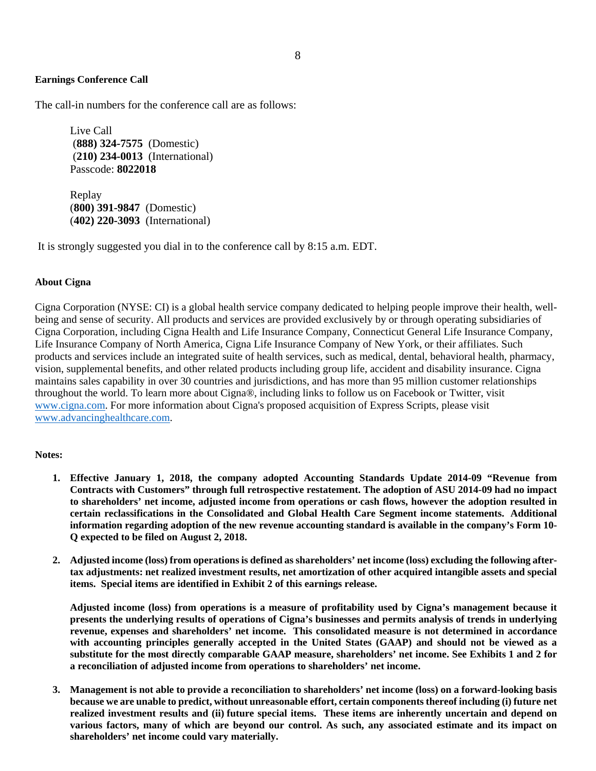#### **Earnings Conference Call**

The call-in numbers for the conference call are as follows:

 Live Call (**888) 324-7575** (Domestic) (**210) 234-0013** (International) Passcode: **8022018**

 Replay (**800) 391-9847** (Domestic) (**402) 220-3093** (International)

It is strongly suggested you dial in to the conference call by 8:15 a.m. EDT.

#### **About Cigna**

Cigna Corporation (NYSE: CI) is a global health service company dedicated to helping people improve their health, wellbeing and sense of security. All products and services are provided exclusively by or through operating subsidiaries of Cigna Corporation, including Cigna Health and Life Insurance Company, Connecticut General Life Insurance Company, Life Insurance Company of North America, Cigna Life Insurance Company of New York, or their affiliates. Such products and services include an integrated suite of health services, such as medical, dental, behavioral health, pharmacy, vision, supplemental benefits, and other related products including group life, accident and disability insurance. Cigna maintains sales capability in over 30 countries and jurisdictions, and has more than 95 million customer relationships throughout the world. To learn more about Cigna®, including links to follow us on Facebook or Twitter, visit www.cigna.com. For more information about Cigna's proposed acquisition of Express Scripts, please visit www.advancinghealthcare.com.

#### **Notes:**

- **1. Effective January 1, 2018, the company adopted Accounting Standards Update 2014-09 "Revenue from Contracts with Customers" through full retrospective restatement. The adoption of ASU 2014-09 had no impact to shareholders' net income, adjusted income from operations or cash flows, however the adoption resulted in certain reclassifications in the Consolidated and Global Health Care Segment income statements. Additional information regarding adoption of the new revenue accounting standard is available in the company's Form 10- Q expected to be filed on August 2, 2018.**
- **2. Adjusted income (loss) from operations is defined as shareholders' net income (loss) excluding the following aftertax adjustments: net realized investment results, net amortization of other acquired intangible assets and special items. Special items are identified in Exhibit 2 of this earnings release.**

**Adjusted income (loss) from operations is a measure of profitability used by Cigna's management because it presents the underlying results of operations of Cigna's businesses and permits analysis of trends in underlying revenue, expenses and shareholders' net income. This consolidated measure is not determined in accordance with accounting principles generally accepted in the United States (GAAP) and should not be viewed as a substitute for the most directly comparable GAAP measure, shareholders' net income. See Exhibits 1 and 2 for a reconciliation of adjusted income from operations to shareholders' net income.** 

**3. Management is not able to provide a reconciliation to shareholders' net income (loss) on a forward-looking basis because we are unable to predict, without unreasonable effort, certain components thereof including (i) future net realized investment results and (ii) future special items. These items are inherently uncertain and depend on various factors, many of which are beyond our control. As such, any associated estimate and its impact on shareholders' net income could vary materially.**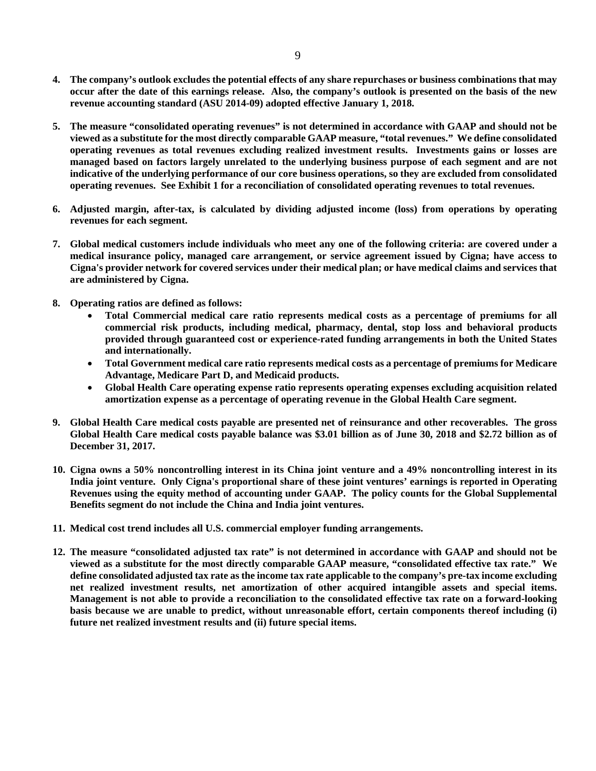- **4. The company's outlook excludes the potential effects of any share repurchases or business combinations that may occur after the date of this earnings release. Also, the company's outlook is presented on the basis of the new revenue accounting standard (ASU 2014-09) adopted effective January 1, 2018.**
- **5. The measure "consolidated operating revenues" is not determined in accordance with GAAP and should not be viewed as a substitute for the most directly comparable GAAP measure, "total revenues." We define consolidated operating revenues as total revenues excluding realized investment results. Investments gains or losses are managed based on factors largely unrelated to the underlying business purpose of each segment and are not indicative of the underlying performance of our core business operations, so they are excluded from consolidated operating revenues. See Exhibit 1 for a reconciliation of consolidated operating revenues to total revenues.**
- **6. Adjusted margin, after-tax, is calculated by dividing adjusted income (loss) from operations by operating revenues for each segment.**
- **7. Global medical customers include individuals who meet any one of the following criteria: are covered under a medical insurance policy, managed care arrangement, or service agreement issued by Cigna; have access to Cigna's provider network for covered services under their medical plan; or have medical claims and services that are administered by Cigna.**
- **8. Operating ratios are defined as follows:** 
	- **Total Commercial medical care ratio represents medical costs as a percentage of premiums for all commercial risk products, including medical, pharmacy, dental, stop loss and behavioral products provided through guaranteed cost or experience-rated funding arrangements in both the United States and internationally.**
	- **Total Government medical care ratio represents medical costs as a percentage of premiums for Medicare Advantage, Medicare Part D, and Medicaid products.**
	- **Global Health Care operating expense ratio represents operating expenses excluding acquisition related amortization expense as a percentage of operating revenue in the Global Health Care segment.**
- **9. Global Health Care medical costs payable are presented net of reinsurance and other recoverables. The gross Global Health Care medical costs payable balance was \$3.01 billion as of June 30, 2018 and \$2.72 billion as of December 31, 2017.**
- **10. Cigna owns a 50% noncontrolling interest in its China joint venture and a 49% noncontrolling interest in its India joint venture. Only Cigna's proportional share of these joint ventures' earnings is reported in Operating Revenues using the equity method of accounting under GAAP. The policy counts for the Global Supplemental Benefits segment do not include the China and India joint ventures.**
- **11. Medical cost trend includes all U.S. commercial employer funding arrangements.**
- **12. The measure "consolidated adjusted tax rate" is not determined in accordance with GAAP and should not be viewed as a substitute for the most directly comparable GAAP measure, "consolidated effective tax rate." We define consolidated adjusted tax rate as the income tax rate applicable to the company's pre-tax income excluding net realized investment results, net amortization of other acquired intangible assets and special items. Management is not able to provide a reconciliation to the consolidated effective tax rate on a forward-looking basis because we are unable to predict, without unreasonable effort, certain components thereof including (i) future net realized investment results and (ii) future special items.**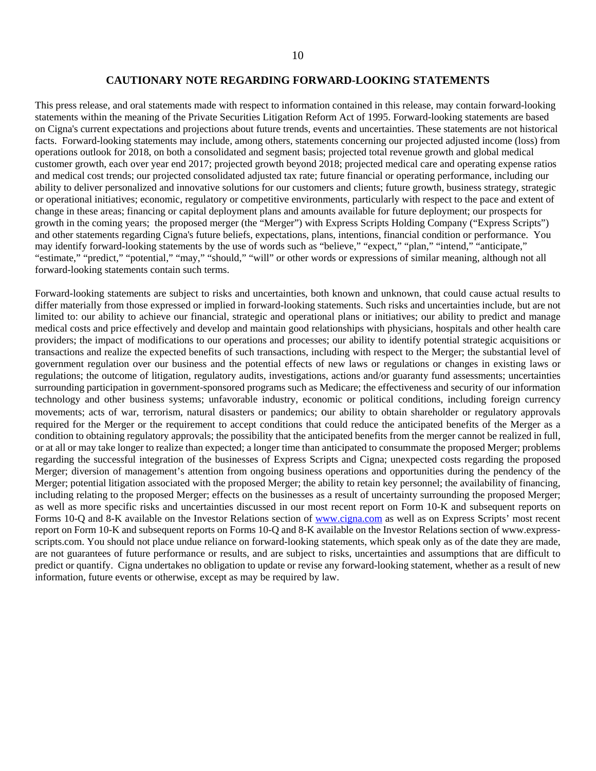#### **CAUTIONARY NOTE REGARDING FORWARD-LOOKING STATEMENTS**

This press release, and oral statements made with respect to information contained in this release, may contain forward-looking statements within the meaning of the Private Securities Litigation Reform Act of 1995. Forward-looking statements are based on Cigna's current expectations and projections about future trends, events and uncertainties. These statements are not historical facts. Forward-looking statements may include, among others, statements concerning our projected adjusted income (loss) from operations outlook for 2018, on both a consolidated and segment basis; projected total revenue growth and global medical customer growth, each over year end 2017; projected growth beyond 2018; projected medical care and operating expense ratios and medical cost trends; our projected consolidated adjusted tax rate; future financial or operating performance, including our ability to deliver personalized and innovative solutions for our customers and clients; future growth, business strategy, strategic or operational initiatives; economic, regulatory or competitive environments, particularly with respect to the pace and extent of change in these areas; financing or capital deployment plans and amounts available for future deployment; our prospects for growth in the coming years; the proposed merger (the "Merger") with Express Scripts Holding Company ("Express Scripts") and other statements regarding Cigna's future beliefs, expectations, plans, intentions, financial condition or performance. You may identify forward-looking statements by the use of words such as "believe," "expect," "plan," "intend," "anticipate," "estimate," "predict," "potential," "may," "should," "will" or other words or expressions of similar meaning, although not all forward-looking statements contain such terms.

Forward-looking statements are subject to risks and uncertainties, both known and unknown, that could cause actual results to differ materially from those expressed or implied in forward-looking statements. Such risks and uncertainties include, but are not limited to: our ability to achieve our financial, strategic and operational plans or initiatives; our ability to predict and manage medical costs and price effectively and develop and maintain good relationships with physicians, hospitals and other health care providers; the impact of modifications to our operations and processes; our ability to identify potential strategic acquisitions or transactions and realize the expected benefits of such transactions, including with respect to the Merger; the substantial level of government regulation over our business and the potential effects of new laws or regulations or changes in existing laws or regulations; the outcome of litigation, regulatory audits, investigations, actions and/or guaranty fund assessments; uncertainties surrounding participation in government-sponsored programs such as Medicare; the effectiveness and security of our information technology and other business systems; unfavorable industry, economic or political conditions, including foreign currency movements; acts of war, terrorism, natural disasters or pandemics; our ability to obtain shareholder or regulatory approvals required for the Merger or the requirement to accept conditions that could reduce the anticipated benefits of the Merger as a condition to obtaining regulatory approvals; the possibility that the anticipated benefits from the merger cannot be realized in full, or at all or may take longer to realize than expected; a longer time than anticipated to consummate the proposed Merger; problems regarding the successful integration of the businesses of Express Scripts and Cigna; unexpected costs regarding the proposed Merger; diversion of management's attention from ongoing business operations and opportunities during the pendency of the Merger; potential litigation associated with the proposed Merger; the ability to retain key personnel; the availability of financing, including relating to the proposed Merger; effects on the businesses as a result of uncertainty surrounding the proposed Merger; as well as more specific risks and uncertainties discussed in our most recent report on Form 10-K and subsequent reports on Forms 10-Q and 8-K available on the Investor Relations section of www.cigna.com as well as on Express Scripts' most recent report on Form 10-K and subsequent reports on Forms 10-Q and 8-K available on the Investor Relations section of www.expressscripts.com. You should not place undue reliance on forward-looking statements, which speak only as of the date they are made, are not guarantees of future performance or results, and are subject to risks, uncertainties and assumptions that are difficult to predict or quantify. Cigna undertakes no obligation to update or revise any forward-looking statement, whether as a result of new information, future events or otherwise, except as may be required by law.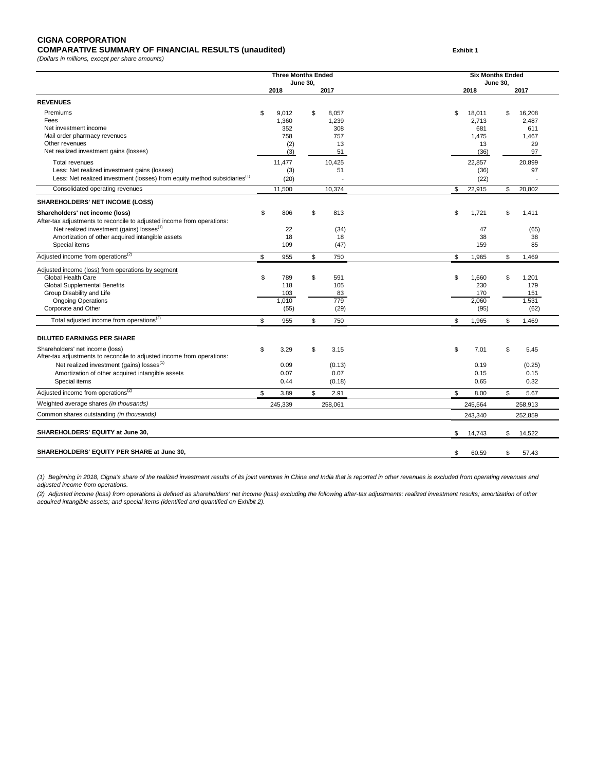#### **CIGNA CORPORATION COMPARATIVE SUMMARY OF FINANCIAL RESULTS (unaudited) Exhibit 1**

*(Dollars in millions, except per share amounts)*

|                                                                                                                                                                                                 | <b>Three Months Ended</b>                 | <b>June 30,</b> |                                    |    | <b>Six Months Ended</b><br>June 30,   |     |                                       |  |  |
|-------------------------------------------------------------------------------------------------------------------------------------------------------------------------------------------------|-------------------------------------------|-----------------|------------------------------------|----|---------------------------------------|-----|---------------------------------------|--|--|
|                                                                                                                                                                                                 | 2018                                      |                 | 2017                               |    | 2018                                  |     | 2017                                  |  |  |
| <b>REVENUES</b>                                                                                                                                                                                 |                                           |                 |                                    |    |                                       |     |                                       |  |  |
| Premiums<br>Fees<br>Net investment income<br>Mail order pharmacy revenues<br>Other revenues                                                                                                     | \$<br>9,012<br>1,360<br>352<br>758<br>(2) | \$              | 8,057<br>1,239<br>308<br>757<br>13 | \$ | 18,011<br>2,713<br>681<br>1,475<br>13 | \$  | 16,208<br>2.487<br>611<br>1.467<br>29 |  |  |
| Net realized investment gains (losses)                                                                                                                                                          | (3)                                       |                 | 51                                 |    | (36)                                  |     | 97                                    |  |  |
| <b>Total revenues</b><br>Less: Net realized investment gains (losses)<br>Less: Net realized investment (losses) from equity method subsidiaries <sup>(1)</sup>                                  | 11,477<br>(3)<br>(20)                     |                 | 10,425<br>51                       |    | 22,857<br>(36)<br>(22)                |     | 20,899<br>97                          |  |  |
| Consolidated operating revenues                                                                                                                                                                 | 11,500                                    |                 | 10,374                             | S  | 22,915                                | \$  | 20,802                                |  |  |
| <b>SHAREHOLDERS' NET INCOME (LOSS)</b>                                                                                                                                                          |                                           |                 |                                    |    |                                       |     |                                       |  |  |
| Shareholders' net income (loss)<br>After-tax adjustments to reconcile to adjusted income from operations:<br>Net realized investment (gains) losses <sup>(1)</sup>                              | \$<br>806<br>22                           | \$              | 813<br>(34)                        | \$ | 1,721<br>47                           | \$  | 1,411<br>(65)                         |  |  |
| Amortization of other acquired intangible assets                                                                                                                                                | 18                                        |                 | 18                                 |    | 38                                    |     | 38                                    |  |  |
| Special items                                                                                                                                                                                   | 109                                       |                 | (47)                               |    | 159                                   |     | 85                                    |  |  |
| Adjusted income from operations <sup>(2)</sup>                                                                                                                                                  | \$<br>955                                 | \$              | 750                                | \$ | 1,965                                 | \$  | 1,469                                 |  |  |
| Adjusted income (loss) from operations by segment<br>Global Health Care<br><b>Global Supplemental Benefits</b><br>Group Disability and Life<br><b>Ongoing Operations</b><br>Corporate and Other | \$<br>789<br>118<br>103<br>1,010<br>(55)  | S               | 591<br>105<br>83<br>779<br>(29)    | \$ | 1,660<br>230<br>170<br>2,060<br>(95)  | \$  | 1,201<br>179<br>151<br>1,531<br>(62)  |  |  |
| Total adjusted income from operations <sup>(2)</sup>                                                                                                                                            | \$<br>955                                 | \$              | 750                                | \$ | 1,965                                 | \$  | 1,469                                 |  |  |
| <b>DILUTED EARNINGS PER SHARE</b>                                                                                                                                                               |                                           |                 |                                    |    |                                       |     |                                       |  |  |
| Shareholders' net income (loss)<br>After-tax adjustments to reconcile to adjusted income from operations:<br>Net realized investment (gains) losses <sup>(1)</sup>                              | \$<br>3.29<br>0.09                        | \$              | 3.15<br>(0.13)                     | \$ | 7.01<br>0.19                          | \$  | 5.45<br>(0.25)                        |  |  |
| Amortization of other acquired intangible assets                                                                                                                                                | 0.07                                      |                 | 0.07                               |    | 0.15                                  |     | 0.15                                  |  |  |
| Special items                                                                                                                                                                                   | 0.44                                      |                 | (0.18)                             |    | 0.65                                  |     | 0.32                                  |  |  |
| Adjusted income from operations <sup>(2)</sup>                                                                                                                                                  | \$<br>3.89                                | \$              | 2.91                               | \$ | 8.00                                  | \$  | 5.67                                  |  |  |
| Weighted average shares (in thousands)                                                                                                                                                          | 245,339                                   |                 | 258,061                            |    | 245,564                               |     | 258,913                               |  |  |
| Common shares outstanding (in thousands)                                                                                                                                                        |                                           |                 |                                    |    | 243.340                               |     | 252,859                               |  |  |
| SHAREHOLDERS' EQUITY at June 30,                                                                                                                                                                |                                           |                 |                                    | \$ | 14,743                                | \$. | 14,522                                |  |  |
| SHAREHOLDERS' EQUITY PER SHARE at June 30,                                                                                                                                                      |                                           |                 |                                    | \$ | 60.59                                 | \$  | 57.43                                 |  |  |

*(1) Beginning in 2018, Cigna's share of the realized investment results of its joint ventures in China and India that is reported in other revenues is excluded from operating revenues and adjusted income from operations.*

*(2) Adjusted income (loss) from operations is defined as shareholders' net income (loss) excluding the following after-tax adjustments: realized investment results; amortization of other acquired intangible assets; and special items (identified and quantified on Exhibit 2).*